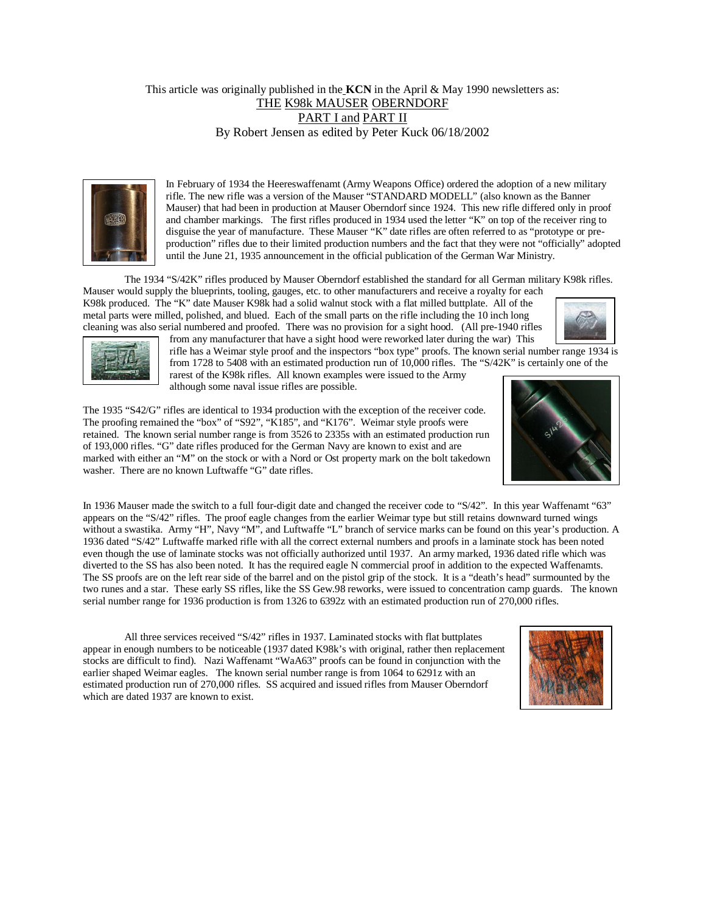#### This article was originally published in the **KCN** in the April & May 1990 newsletters as: THE K98k MAUSER OBERNDORF PART I and PART II By Robert Jensen as edited by Peter Kuck 06/18/2002



In February of 1934 the Heereswaffenamt (Army Weapons Office) ordered the adoption of a new military rifle. The new rifle was a version of the Mauser "STANDARD MODELL" (also known as the Banner Mauser) that had been in production at Mauser Oberndorf since 1924. This new rifle differed only in proof and chamber markings. The first rifles produced in 1934 used the letter "K" on top of the receiver ring to disguise the year of manufacture. These Mauser "K" date rifles are often referred to as "prototype or preproduction" rifles due to their limited production numbers and the fact that they were not "officially" adopted until the June 21, 1935 announcement in the official publication of the German War Ministry.

The 1934 "S/42K" rifles produced by Mauser Oberndorf established the standard for all German military K98k rifles.

Mauser would supply the blueprints, tooling, gauges, etc. to other manufacturers and receive a royalty for each K98k produced. The "K" date Mauser K98k had a solid walnut stock with a flat milled buttplate. All of the metal parts were milled, polished, and blued. Each of the small parts on the rifle including the 10 inch long cleaning was also serial numbered and proofed. There was no provision for a sight hood. (All pre-1940 rifles from any manufacturer that have a sight hood were reworked later during the war) This





rifle has a Weimar style proof and the inspectors "box type" proofs. The known serial number range 1934 is from 1728 to 5408 with an estimated production run of 10,000 rifles. The "S/42K" is certainly one of the rarest of the K98k rifles. All known examples were issued to the Army although some naval issue rifles are possible.

The 1935 "S42/G" rifles are identical to 1934 production with the exception of the receiver code. The proofing remained the "box" of "S92", "K185", and "K176". Weimar style proofs were retained. The known serial number range is from 3526 to 2335s with an estimated production run of 193,000 rifles. "G" date rifles produced for the German Navy are known to exist and are marked with either an "M" on the stock or with a Nord or Ost property mark on the bolt takedown washer. There are no known Luftwaffe "G" date rifles.



In 1936 Mauser made the switch to a full four-digit date and changed the receiver code to "S/42". In this year Waffenamt "63" appears on the "S/42" rifles. The proof eagle changes from the earlier Weimar type but still retains downward turned wings without a swastika. Army "H", Navy "M", and Luftwaffe "L" branch of service marks can be found on this year's production. A 1936 dated "S/42" Luftwaffe marked rifle with all the correct external numbers and proofs in a laminate stock has been noted even though the use of laminate stocks was not officially authorized until 1937. An army marked, 1936 dated rifle which was diverted to the SS has also been noted. It has the required eagle N commercial proof in addition to the expected Waffenamts. The SS proofs are on the left rear side of the barrel and on the pistol grip of the stock. It is a "death's head" surmounted by the two runes and a star. These early SS rifles, like the SS Gew.98 reworks, were issued to concentration camp guards. The known serial number range for 1936 production is from 1326 to 6392z with an estimated production run of 270,000 rifles.

All three services received "S/42" rifles in 1937. Laminated stocks with flat buttplates appear in enough numbers to be noticeable (1937 dated K98k's with original, rather then replacement stocks are difficult to find). Nazi Waffenamt "WaA63" proofs can be found in conjunction with the earlier shaped Weimar eagles. The known serial number range is from 1064 to 6291z with an estimated production run of 270,000 rifles. SS acquired and issued rifles from Mauser Oberndorf which are dated 1937 are known to exist.

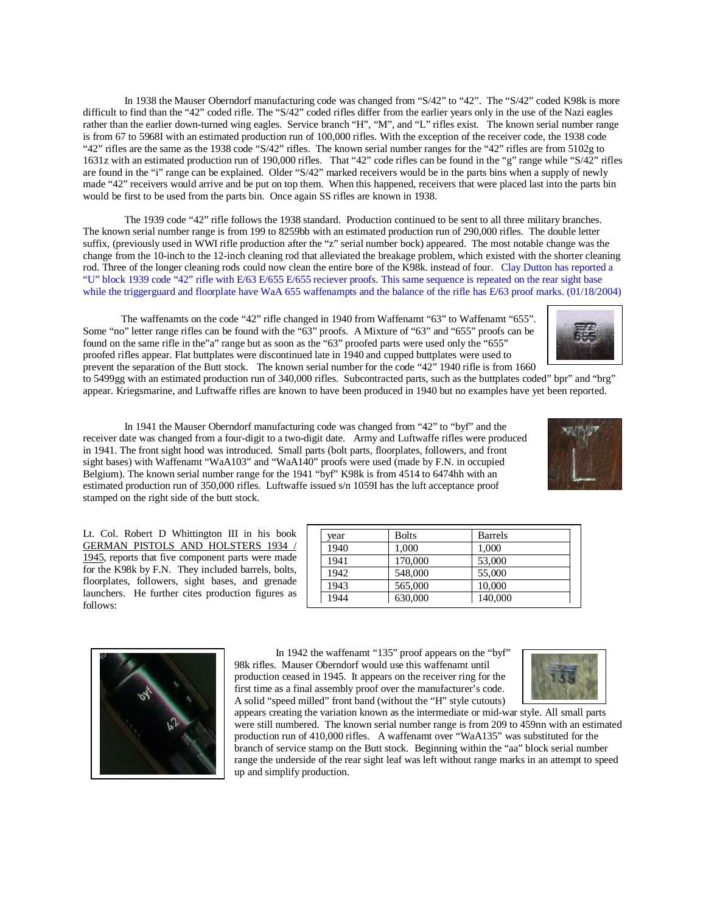In 1938 the Mauser Oberndorf manufacturing code was changed from "S/42" to "42". The "S/42" coded K98k is more difficult to find than the "42" coded rifle. The "S/42" coded rifles differ from the earlier years only in the use of the Nazi eagles rather than the earlier down-turned wing eagles. Service branch "H", "M", and "L" rifles exist. The known serial number range is from 67 to 5968I with an estimated production run of 100,000 rifles. With the exception of the receiver code, the 1938 code "42" rifles are the same as the 1938 code "S/42" rifles. The known serial number ranges for the "42" rifles are from 5102g to 1631z with an estimated production run of 190,000 rifles. That "42" code rifles can be found in the "g" range while "S/42" rifles are found in the "i" range can be explained. Older "S/42" marked receivers would be in the parts bins when a supply of newly made "42" receivers would arrive and be put on top them. When this happened, receivers that were placed last into the parts bin would be first to be used from the parts bin. Once again SS rifles are known in 1938.

The 1939 code "42" rifle follows the 1938 standard. Production continued to be sent to all three military branches. The known serial number range is from 199 to 8259bb with an estimated production run of 290,000 rifles. The double letter suffix, (previously used in WWI rifle production after the "z" serial number bock) appeared. The most notable change was the change from the 10-inch to the 12-inch cleaning rod that alleviated the breakage problem, which existed with the shorter cleaning rod. Three of the longer cleaning rods could now clean the entire bore of the K98k. instead of four. Clay Dutton has reported a "U" block 1939 code "42" rifle with E/63 E/655 E/655 reciever proofs. This same sequence is repeated on the rear sight base while the triggerguard and floorplate have WaA 655 waffenampts and the balance of the rifle has E/63 proof marks. (01/18/2004)

 The waffenamts on the code "42" rifle changed in 1940 from Waffenamt "63" to Waffenamt "655". Some "no" letter range rifles can be found with the "63" proofs. A Mixture of "63" and "655" proofs can be found on the same rifle in the"a" range but as soon as the "63" proofed parts were used only the "655" proofed rifles appear. Flat buttplates were discontinued late in 1940 and cupped buttplates were used to prevent the separation of the Butt stock. The known serial number for the code "42" 1940 rifle is from 1660

to 5499gg with an estimated production run of 340,000 rifles. Subcontracted parts, such as the buttplates coded" bpr" and "brg" appear. Kriegsmarine, and Luftwaffe rifles are known to have been produced in 1940 but no examples have yet been reported.

In 1941 the Mauser Oberndorf manufacturing code was changed from "42" to "byf" and the receiver date was changed from a four-digit to a two-digit date. Army and Luftwaffe rifles were produced in 1941. The front sight hood was introduced. Small parts (bolt parts, floorplates, followers, and front sight bases) with Waffenamt "WaA103" and "WaA140" proofs were used (made by F.N. in occupied Belgium). The known serial number range for the 1941 "byf" K98k is from 4514 to 6474hh with an estimated production run of 350,000 rifles. Luftwaffe issued s/n 1059I has the luft acceptance proof stamped on the right side of the butt stock.

Lt. Col. Robert D Whittington III in his book GERMAN PISTOLS AND HOLSTERS 1934 / 1945, reports that five component parts were made for the K98k by F.N. They included barrels, bolts, floorplates, followers, sight bases, and grenade launchers. He further cites production figures as follows:

> In 1942 the waffenamt "135" proof appears on the "byf" 98k rifles. Mauser Oberndorf would use this waffenamt until production ceased in 1945. It appears on the receiver ring for the first time as a final assembly proof over the manufacturer's code. A solid "speed milled" front band (without the "H" style cutouts)

appears creating the variation known as the intermediate or mid-war style. All small parts were still numbered. The known serial number range is from 209 to 459nn with an estimated production run of 410,000 rifles. A waffenamt over "WaA135" was substituted for the branch of service stamp on the Butt stock. Beginning within the "aa" block serial number range the underside of the rear sight leaf was left without range marks in an attempt to speed up and simplify production.







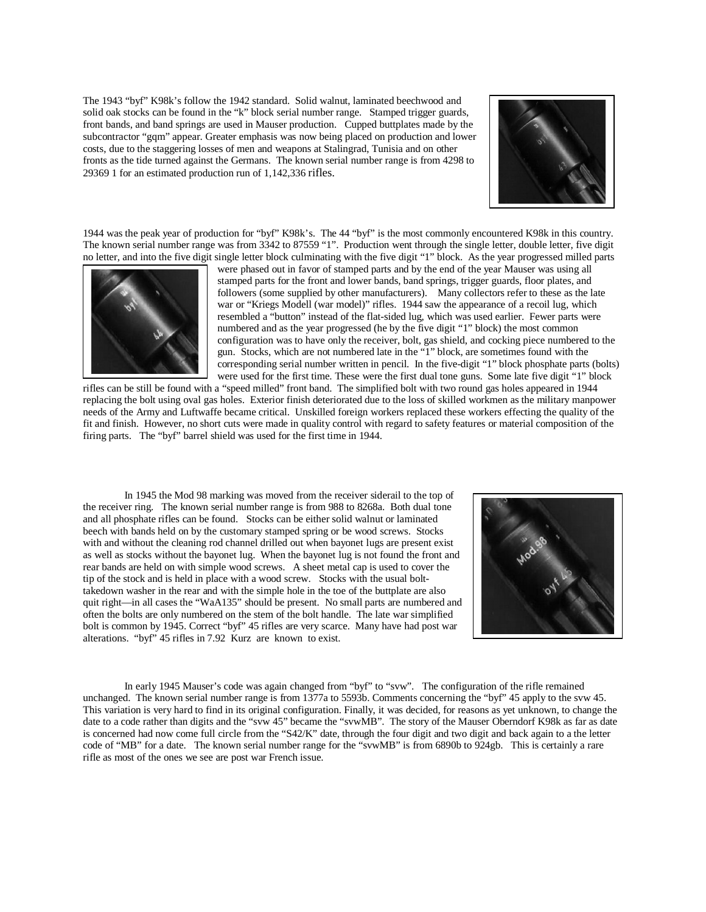The 1943 "byf" K98k's follow the 1942 standard. Solid walnut, laminated beechwood and solid oak stocks can be found in the "k" block serial number range. Stamped trigger guards, front bands, and band springs are used in Mauser production. Cupped buttplates made by the subcontractor "gqm" appear. Greater emphasis was now being placed on production and lower costs, due to the staggering losses of men and weapons at Stalingrad, Tunisia and on other fronts as the tide turned against the Germans. The known serial number range is from 4298 to 29369 1 for an estimated production run of 1,142,336 rifles.



1944 was the peak year of production for "byf" K98k's. The 44 "byf" is the most commonly encountered K98k in this country. The known serial number range was from 3342 to 87559 "1". Production went through the single letter, double letter, five digit no letter, and into the five digit single letter block culminating with the five digit "1" block. As the year progressed milled parts



were phased out in favor of stamped parts and by the end of the year Mauser was using all stamped parts for the front and lower bands, band springs, trigger guards, floor plates, and followers (some supplied by other manufacturers). Many collectors refer to these as the late war or "Kriegs Modell (war model)" rifles. 1944 saw the appearance of a recoil lug, which resembled a "button" instead of the flat-sided lug, which was used earlier. Fewer parts were numbered and as the year progressed (he by the five digit "1" block) the most common configuration was to have only the receiver, bolt, gas shield, and cocking piece numbered to the gun. Stocks, which are not numbered late in the "1" block, are sometimes found with the corresponding serial number written in pencil. In the five-digit "1" block phosphate parts (bolts) were used for the first time. These were the first dual tone guns. Some late five digit "1" block

rifles can be still be found with a "speed milled" front band. The simplified bolt with two round gas holes appeared in 1944 replacing the bolt using oval gas holes. Exterior finish deteriorated due to the loss of skilled workmen as the military manpower needs of the Army and Luftwaffe became critical. Unskilled foreign workers replaced these workers effecting the quality of the fit and finish. However, no short cuts were made in quality control with regard to safety features or material composition of the firing parts. The "byf" barrel shield was used for the first time in 1944.

In 1945 the Mod 98 marking was moved from the receiver siderail to the top of the receiver ring. The known serial number range is from 988 to 8268a. Both dual tone and all phosphate rifles can be found. Stocks can be either solid walnut or laminated beech with bands held on by the customary stamped spring or be wood screws. Stocks with and without the cleaning rod channel drilled out when bayonet lugs are present exist as well as stocks without the bayonet lug. When the bayonet lug is not found the front and rear bands are held on with simple wood screws. A sheet metal cap is used to cover the tip of the stock and is held in place with a wood screw. Stocks with the usual bolttakedown washer in the rear and with the simple hole in the toe of the buttplate are also quit right—in all cases the "WaA135" should be present. No small parts are numbered and often the bolts are only numbered on the stem of the bolt handle. The late war simplified bolt is common by 1945. Correct "byf" 45 rifles are very scarce. Many have had post war alterations. "byf" 45 rifles in 7.92 Kurz are known to exist.



In early 1945 Mauser's code was again changed from "byf" to "svw". The configuration of the rifle remained unchanged. The known serial number range is from 1377a to 5593b. Comments concerning the "byf" 45 apply to the svw 45. This variation is very hard to find in its original configuration. Finally, it was decided, for reasons as yet unknown, to change the date to a code rather than digits and the "svw 45" became the "svwMB". The story of the Mauser Oberndorf K98k as far as date is concerned had now come full circle from the "S42/K" date, through the four digit and two digit and back again to a the letter code of "MB" for a date. The known serial number range for the "svwMB" is from 6890b to 924gb. This is certainly a rare rifle as most of the ones we see are post war French issue.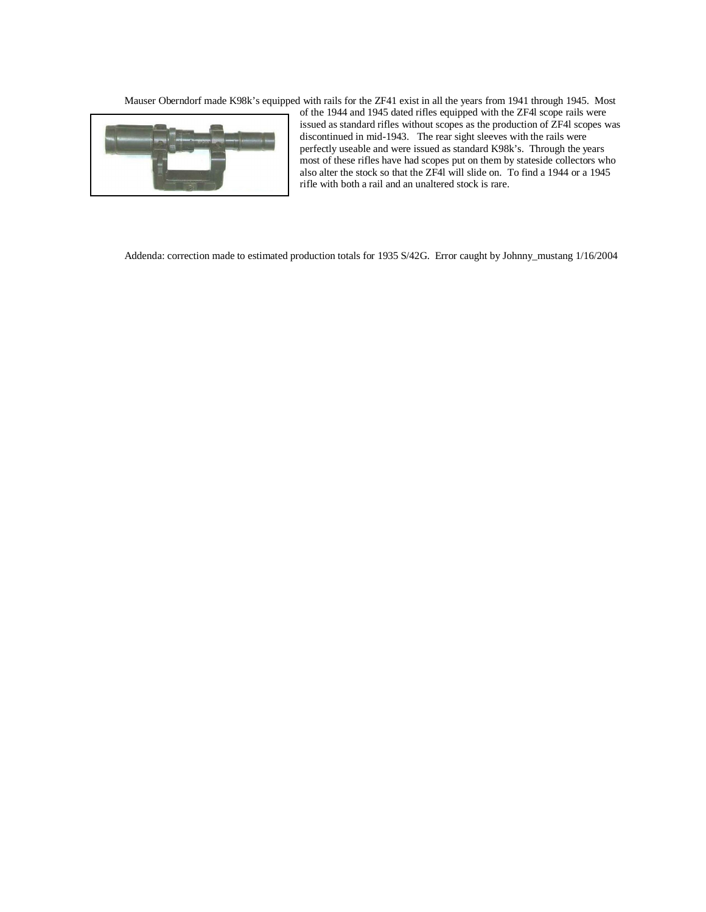Mauser Oberndorf made K98k's equipped with rails for the ZF41 exist in all the years from 1941 through 1945. Most



of the 1944 and 1945 dated rifles equipped with the ZF4l scope rails were issued as standard rifles without scopes as the production of ZF4l scopes was discontinued in mid-1943. The rear sight sleeves with the rails were perfectly useable and were issued as standard K98k's. Through the years most of these rifles have had scopes put on them by stateside collectors who also alter the stock so that the ZF4l will slide on. To find a 1944 or a 1945 rifle with both a rail and an unaltered stock is rare.

Addenda: correction made to estimated production totals for 1935 S/42G. Error caught by Johnny\_mustang 1/16/2004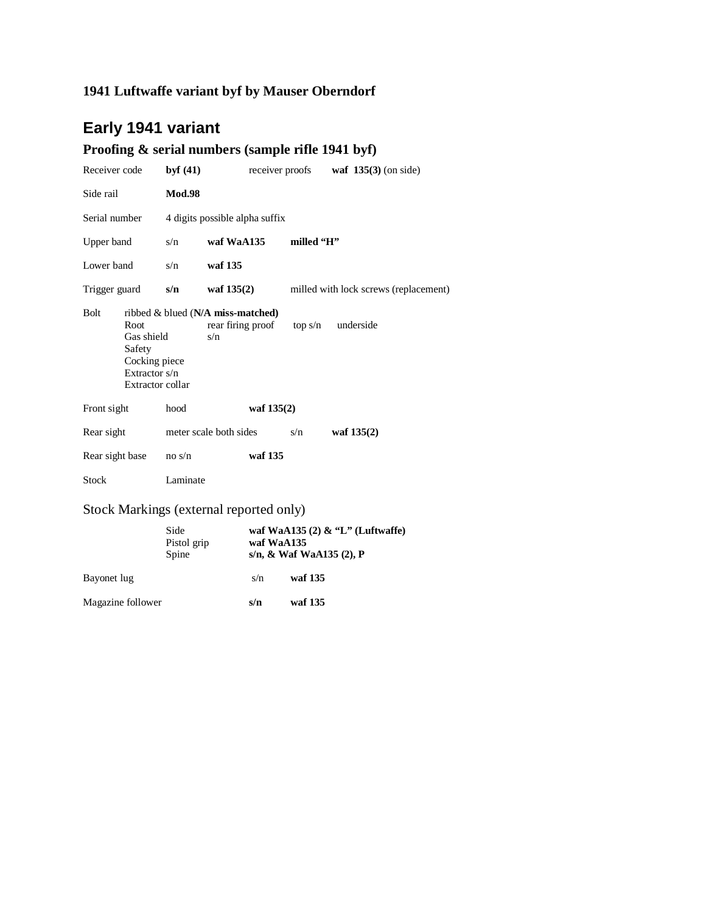## **1941 Luftwaffe variant byf by Mauser Oberndorf**

## **Early 1941 variant**

## **Proofing & serial numbers (sample rifle 1941 byf)**

| Receiver code                                                                                     | byf $(41)$    |                                                                  | receiver proofs | waf $135(3)$ (on side)                |
|---------------------------------------------------------------------------------------------------|---------------|------------------------------------------------------------------|-----------------|---------------------------------------|
| Side rail                                                                                         | <b>Mod.98</b> |                                                                  |                 |                                       |
| Serial number                                                                                     |               | 4 digits possible alpha suffix                                   |                 |                                       |
| Upper band                                                                                        | s/n           | waf WaA135                                                       | milled "H"      |                                       |
| Lower band                                                                                        | s/n           | waf 135                                                          |                 |                                       |
| Trigger guard                                                                                     | s/n           | waf $135(2)$                                                     |                 | milled with lock screws (replacement) |
| <b>Bolt</b><br>Root<br>Gas shield<br>Safety<br>Cocking piece<br>Extractor s/n<br>Extractor collar |               | ribbed $\&$ blued (N/A miss-matched)<br>rear firing proof<br>s/n | top s/n         | underside                             |
| Front sight                                                                                       | hood          | waf $135(2)$                                                     |                 |                                       |
| Rear sight                                                                                        |               | meter scale both sides                                           | s/n             | waf $135(2)$                          |
| Rear sight base                                                                                   | no s/n        | waf 135                                                          |                 |                                       |
| <b>Stock</b>                                                                                      | Laminate      |                                                                  |                 |                                       |

#### Stock Markings (external reported only)

|                   | Side<br>Pistol grip<br>Spine | waf WaA135 $(2)$ & "L" (Luftwaffe)<br>waf WaA135<br>s/n, & Waf WaA135 (2), P |         |  |  |  |
|-------------------|------------------------------|------------------------------------------------------------------------------|---------|--|--|--|
| Bayonet lug       |                              | s/n                                                                          | waf 135 |  |  |  |
| Magazine follower |                              | s/n                                                                          | waf 135 |  |  |  |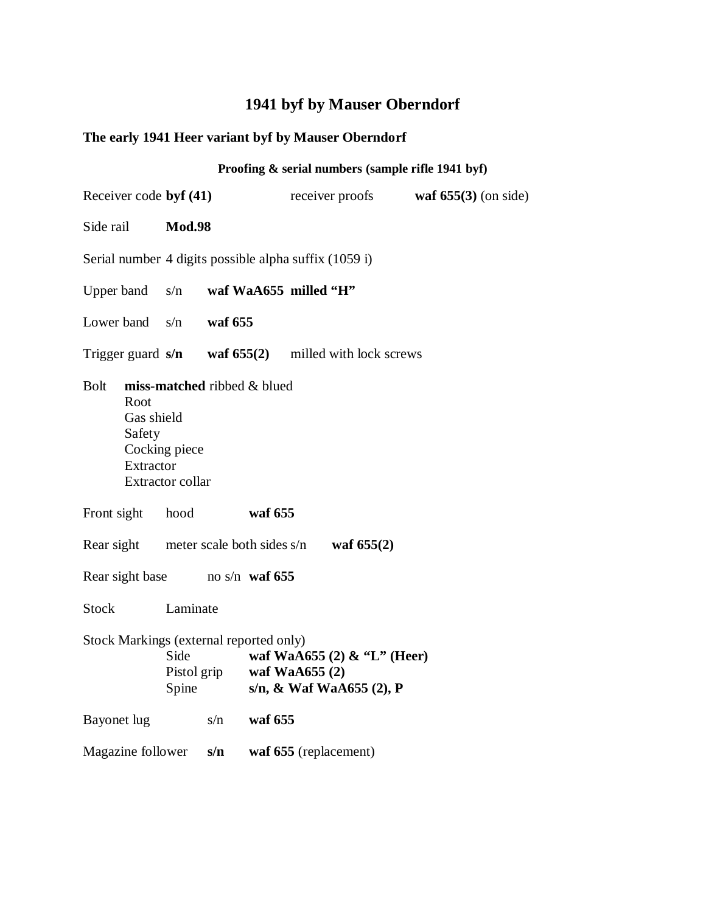## **The early 1941 Heer variant byf by Mauser Oberndorf**

|                                                          |                                   |         |                             |                                                              | Proofing & serial numbers (sample rifle 1941 byf) |
|----------------------------------------------------------|-----------------------------------|---------|-----------------------------|--------------------------------------------------------------|---------------------------------------------------|
| Receiver code byf (41)                                   |                                   |         |                             | receiver proofs                                              | waf $655(3)$ (on side)                            |
| Side rail                                                | <b>Mod.98</b>                     |         |                             |                                                              |                                                   |
| Serial number 4 digits possible alpha suffix (1059 i)    |                                   |         |                             |                                                              |                                                   |
| Upper band                                               | s/n                               |         | waf WaA655 milled "H"       |                                                              |                                                   |
| Lower band $s/n$                                         |                                   | waf 655 |                             |                                                              |                                                   |
| Trigger guard $s/n$ waf $655(2)$ milled with lock screws |                                   |         |                             |                                                              |                                                   |
| <b>Bolt</b><br>Root<br>Gas shield<br>Safety<br>Extractor | Cocking piece<br>Extractor collar |         | miss-matched ribbed & blued |                                                              |                                                   |
| Front sight                                              | hood                              |         | waf 655                     |                                                              |                                                   |
| Rear sight meter scale both sides $s/n$ waf 655(2)       |                                   |         |                             |                                                              |                                                   |
| Rear sight base no s/n waf 655                           |                                   |         |                             |                                                              |                                                   |
| Stock                                                    | Laminate                          |         |                             |                                                              |                                                   |
| Stock Markings (external reported only)                  | Side<br>Pistol grip<br>Spine      |         | waf WaA655 (2)              | waf WaA655 $(2)$ & "L" (Heer)<br>s/n, $\&$ Waf WaA655 (2), P |                                                   |
| Bayonet lug                                              |                                   | s/n     | waf 655                     |                                                              |                                                   |
| Magazine follower                                        |                                   | s/n     |                             | waf 655 (replacement)                                        |                                                   |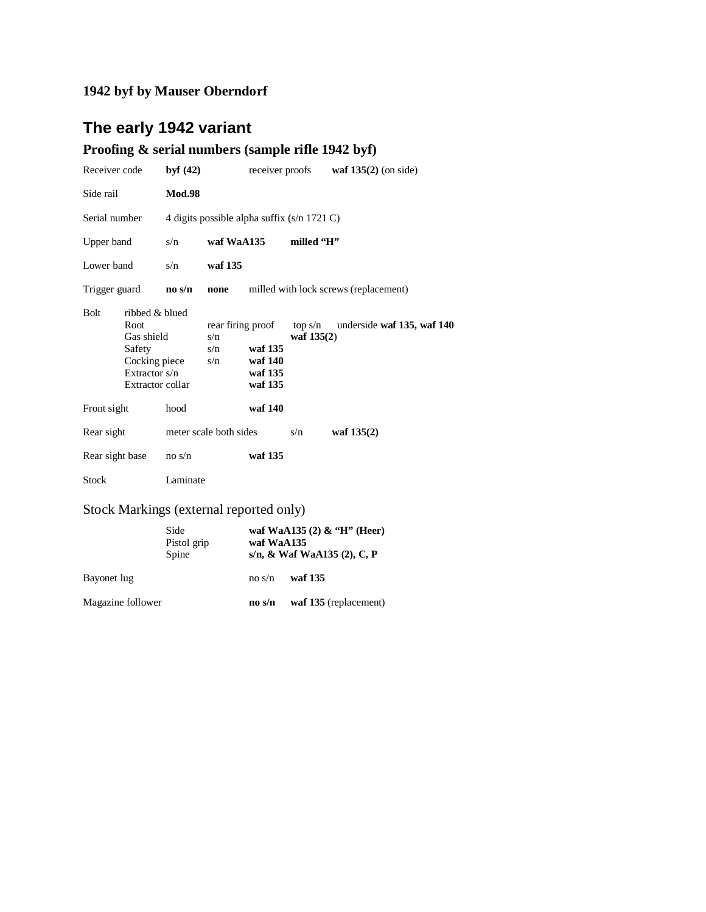## **The early 1942 variant**

## **Proofing & serial numbers (sample rifle 1942 byf)**

| Receiver code   |                                                                                                        | byf $(42)$             |                   |                                                               | receiver proofs         | waf $135(2)$ (on side)                |
|-----------------|--------------------------------------------------------------------------------------------------------|------------------------|-------------------|---------------------------------------------------------------|-------------------------|---------------------------------------|
| Side rail       |                                                                                                        | <b>Mod.98</b>          |                   |                                                               |                         |                                       |
| Serial number   |                                                                                                        |                        |                   | 4 digits possible alpha suffix (s/n 1721 C)                   |                         |                                       |
| Upper band      |                                                                                                        | s/n                    | waf WaA135        |                                                               | milled 'H"              |                                       |
| Lower band      |                                                                                                        | s/n                    | waf 135           |                                                               |                         |                                       |
| Trigger guard   |                                                                                                        | $\bf{no}$ s/ $\bf{n}$  | none              |                                                               |                         | milled with lock screws (replacement) |
| <b>Bolt</b>     | ribbed & blued<br>Root<br>Gas shield<br>Safety<br>Cocking piece<br>Extractor $s/n$<br>Extractor collar |                        | s/n<br>s/n<br>s/n | rear firing proof<br>waf 135<br>waf 140<br>waf 135<br>waf 135 | top s/n<br>waf $135(2)$ | underside waf 135, waf 140            |
| Front sight     |                                                                                                        | hood                   |                   | waf 140                                                       |                         |                                       |
| Rear sight      |                                                                                                        | meter scale both sides |                   |                                                               | s/n                     | waf $135(2)$                          |
| Rear sight base |                                                                                                        | no s/n                 |                   | waf 135                                                       |                         |                                       |
| <b>Stock</b>    |                                                                                                        | Laminate               |                   |                                                               |                         |                                       |

#### Stock Markings (external reported only)

|                   | Side<br>Pistol grip<br>Spine | waf WaA135            | waf WaA135 $(2)$ & "H" (Heer)<br>s/n, & Waf WaA135 $(2)$ , C, P |
|-------------------|------------------------------|-----------------------|-----------------------------------------------------------------|
| Bayonet lug       |                              | no s/n                | waf 135                                                         |
| Magazine follower |                              | $\bf{no}$ s/ $\bf{n}$ | waf 135 (replacement)                                           |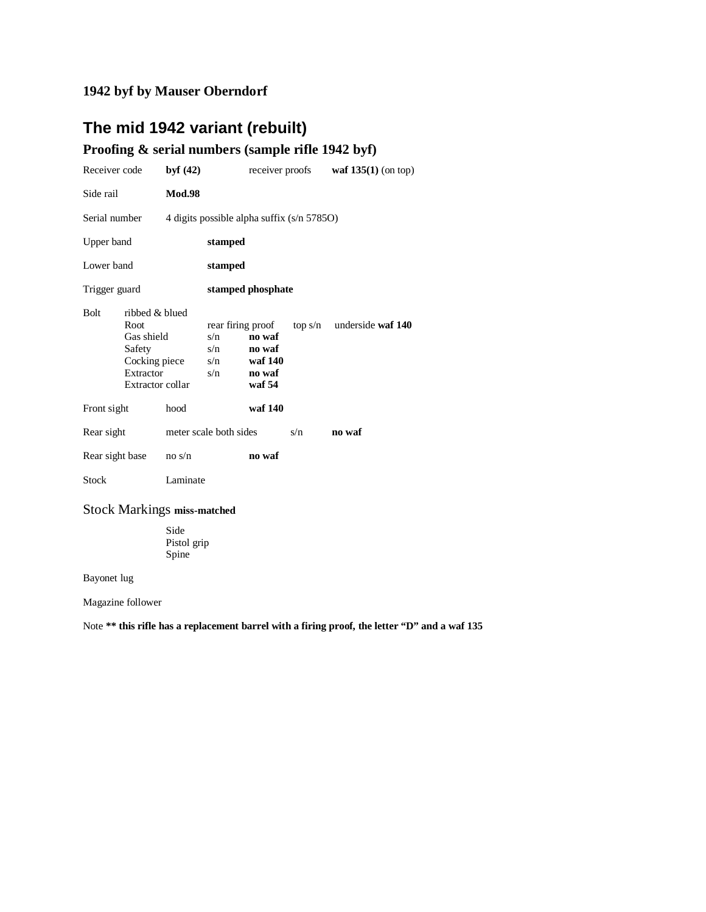## **The mid 1942 variant (rebuilt)**

#### **Proofing & serial numbers (sample rifle 1942 byf)**

| Receiver code   |                                                                                                  | byf $(42)$    |                                               |                                                 | receiver proofs | waf $135(1)$ (on top)     |
|-----------------|--------------------------------------------------------------------------------------------------|---------------|-----------------------------------------------|-------------------------------------------------|-----------------|---------------------------|
| Side rail       |                                                                                                  | <b>Mod.98</b> |                                               |                                                 |                 |                           |
| Serial number   |                                                                                                  |               | 4 digits possible alpha suffix (s/n 5785O)    |                                                 |                 |                           |
| Upper band      |                                                                                                  |               | stamped                                       |                                                 |                 |                           |
| Lower band      |                                                                                                  |               | stamped                                       |                                                 |                 |                           |
| Trigger guard   |                                                                                                  |               |                                               | stamped phosphate                               |                 |                           |
| <b>Bolt</b>     | ribbed & blued<br>Root<br>Gas shield<br>Safety<br>Cocking piece<br>Extractor<br>Extractor collar |               | rear firing proof<br>s/n<br>s/n<br>s/n<br>s/n | no waf<br>no waf<br>waf 140<br>no waf<br>waf 54 |                 | top s/n underside waf 140 |
| Front sight     |                                                                                                  | hood          |                                               | waf 140                                         |                 |                           |
| Rear sight      |                                                                                                  |               | meter scale both sides                        |                                                 | s/n             | no waf                    |
| Rear sight base |                                                                                                  | no s/n        |                                               | no waf                                          |                 |                           |
| <b>Stock</b>    |                                                                                                  | Laminate      |                                               |                                                 |                 |                           |

#### Stock Markings **miss-matched**

 Side Pistol grip Spine

Bayonet lug

Magazine follower

Note **\*\* this rifle has a replacement barrel with a firing proof, the letter "D" and a waf 135**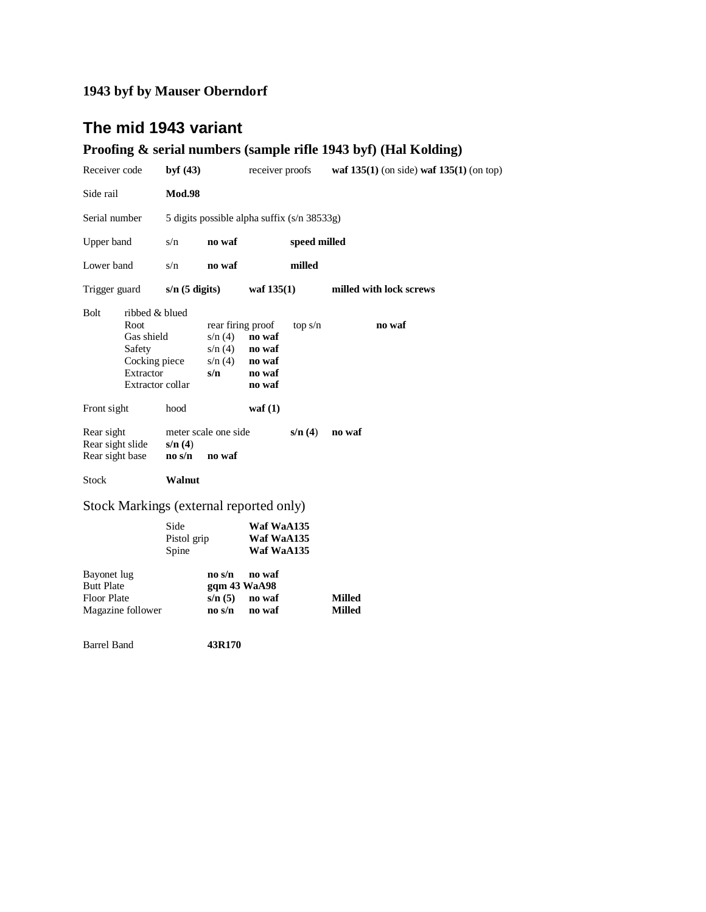## **The mid 1943 variant**

## **Proofing & serial numbers (sample rifle 1943 byf) (Hal Kolding)**

| Receiver code                                                                                                   | byf $(43)$                                                        | receiver proofs                                                                | waf $135(1)$ (on side) waf $135(1)$ (on top) |
|-----------------------------------------------------------------------------------------------------------------|-------------------------------------------------------------------|--------------------------------------------------------------------------------|----------------------------------------------|
| Side rail                                                                                                       | <b>Mod.98</b>                                                     |                                                                                |                                              |
| Serial number                                                                                                   |                                                                   | 5 digits possible alpha suffix (s/n 38533g)                                    |                                              |
| Upper band                                                                                                      | s/n<br>no waf                                                     | speed milled                                                                   |                                              |
| Lower band                                                                                                      | s/n<br>no waf                                                     | milled                                                                         |                                              |
| Trigger guard                                                                                                   | $s/n$ (5 digits)                                                  | waf $135(1)$                                                                   | milled with lock screws                      |
| <b>Bolt</b><br>ribbed & blued<br>Root<br>Gas shield<br>Safety<br>Cocking piece<br>Extractor<br>Extractor collar | s/n(4)<br>s/n(4)<br>s/n(4)<br>s/n                                 | rear firing proof<br>top s/n<br>no waf<br>no waf<br>no waf<br>no waf<br>no waf | no waf                                       |
| Front sight                                                                                                     | hood                                                              | waf $(1)$                                                                      |                                              |
| Rear sight<br>Rear sight slide<br>Rear sight base                                                               | meter scale one side<br>s/n(4)<br>no waf<br>$\bf{no}$ s/ $\bf{n}$ | s/n(4)                                                                         | no waf                                       |
| <b>Stock</b>                                                                                                    | Walnut                                                            |                                                                                |                                              |
| Stock Markings (external reported only)                                                                         |                                                                   |                                                                                |                                              |
|                                                                                                                 | Side<br>Pistol grip<br>Spine                                      | Waf WaA135<br>Waf WaA135<br>Waf WaA135                                         |                                              |
| Bayonet lug<br><b>Butt Plate</b><br><b>Floor Plate</b><br>Magazine follower                                     | $\bf{no}$ s/ $\bf{n}$<br>s/n(5)<br>no s/n                         | no waf<br>ggm 43 WaA98<br>no waf<br>no waf                                     | <b>Milled</b><br><b>Milled</b>               |

Barrel Band **43R170**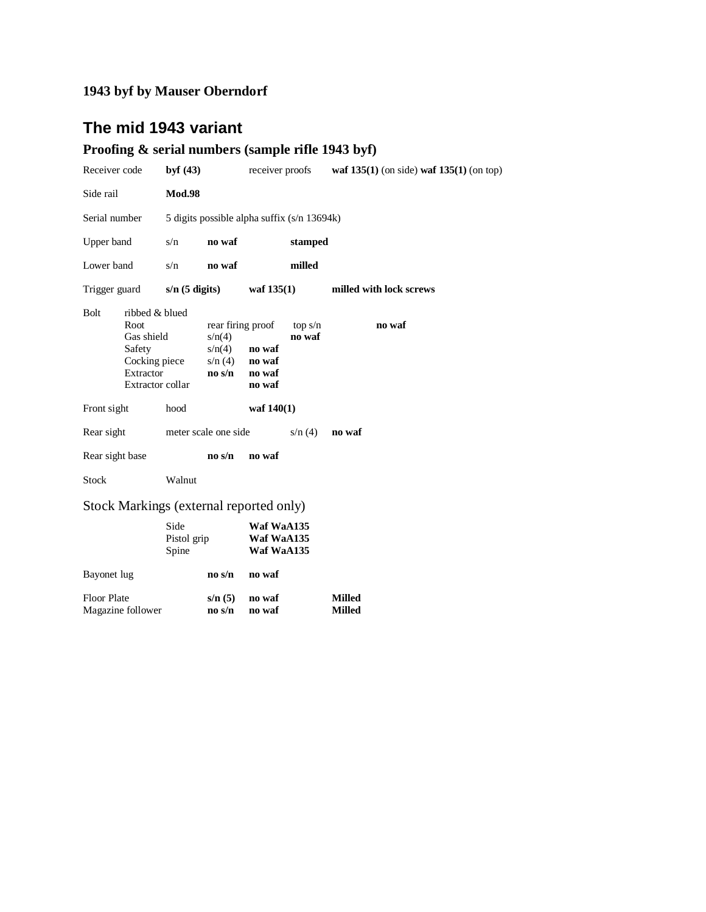## **The mid 1943 variant**

#### **Proofing & serial numbers (sample rifle 1943 byf)**

Floor Plate **s/n (5) no waf Milled**<br>Magazine follower **no s/n no waf Milled** 

**Magazine follower** 

| Receiver code                           |                                                                                                         | byf $(43)$                   |                                                                          | receiver proofs                             |                   | waf $135(1)$ (on side) waf $135(1)$ (on top) |
|-----------------------------------------|---------------------------------------------------------------------------------------------------------|------------------------------|--------------------------------------------------------------------------|---------------------------------------------|-------------------|----------------------------------------------|
| Side rail                               |                                                                                                         | <b>Mod.98</b>                |                                                                          |                                             |                   |                                              |
| Serial number                           |                                                                                                         |                              |                                                                          | 5 digits possible alpha suffix (s/n 13694k) |                   |                                              |
| Upper band                              |                                                                                                         | s/n                          | no waf                                                                   |                                             | stamped           |                                              |
| Lower band                              |                                                                                                         | s/n                          | no waf                                                                   |                                             | milled            |                                              |
| Trigger guard                           |                                                                                                         | $s/n$ (5 digits)             |                                                                          | waf $135(1)$                                |                   | milled with lock screws                      |
| <b>Bolt</b>                             | ribbed & blued<br>Root<br>Gas shield<br>Safety<br>Cocking piece<br>Extractor<br><b>Extractor collar</b> |                              | rear firing proof<br>s/n(4)<br>s/n(4)<br>s/n(4)<br>$\bf{no}$ s/ $\bf{n}$ | no waf<br>no waf<br>no waf<br>no waf        | top s/n<br>no waf | no waf                                       |
| Front sight                             |                                                                                                         | hood                         |                                                                          | waf $140(1)$                                |                   |                                              |
| Rear sight                              |                                                                                                         |                              | meter scale one side                                                     |                                             | s/n(4)            | no waf                                       |
| Rear sight base                         |                                                                                                         |                              | $\bf{no}$ s/ $\bf{n}$                                                    | no waf                                      |                   |                                              |
| <b>Stock</b>                            |                                                                                                         | Walnut                       |                                                                          |                                             |                   |                                              |
| Stock Markings (external reported only) |                                                                                                         |                              |                                                                          |                                             |                   |                                              |
|                                         |                                                                                                         | Side<br>Pistol grip<br>Spine |                                                                          | Waf WaA135<br>Waf WaA135<br>Waf WaA135      |                   |                                              |
| Bayonet lug                             |                                                                                                         |                              | $\bf{no}$ s/ $\bf{n}$                                                    | no waf                                      |                   |                                              |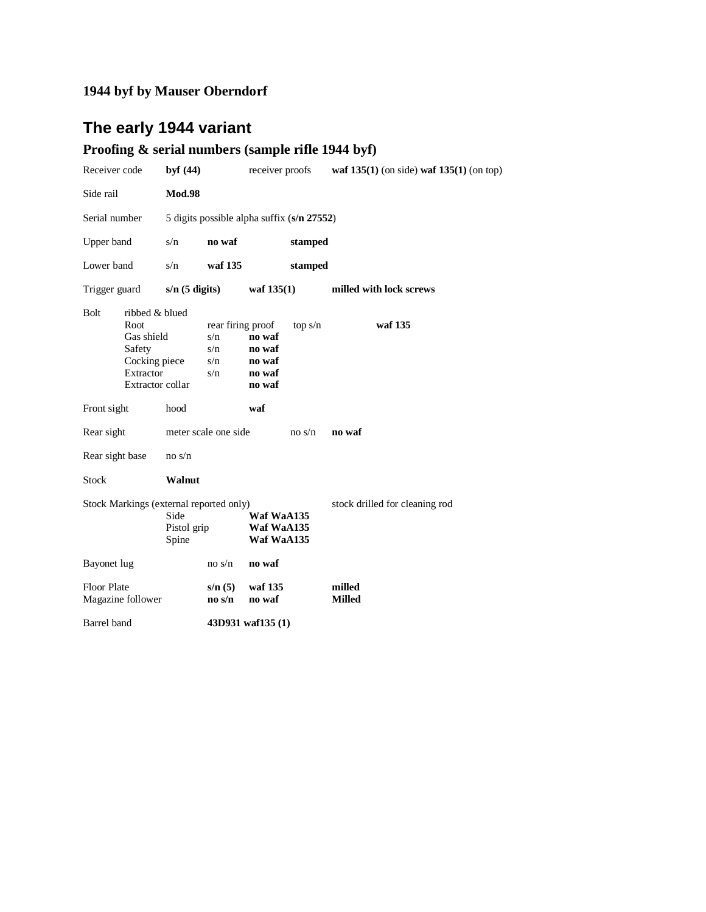## **The early 1944 variant**

## **Proofing & serial numbers (sample rifle 1944 byf)**

| Receiver code                                                           |                                                                                                  | byf $(44)$                             |                                               | receiver proofs                                |         | waf $135(1)$ (on side) waf $135(1)$ (on top) |
|-------------------------------------------------------------------------|--------------------------------------------------------------------------------------------------|----------------------------------------|-----------------------------------------------|------------------------------------------------|---------|----------------------------------------------|
| Side rail                                                               |                                                                                                  | <b>Mod.98</b>                          |                                               |                                                |         |                                              |
| Serial number                                                           |                                                                                                  |                                        | 5 digits possible alpha suffix (s/n 27552)    |                                                |         |                                              |
| Upper band                                                              |                                                                                                  | s/n                                    | no waf                                        |                                                | stamped |                                              |
| Lower band                                                              |                                                                                                  | s/n                                    | waf 135                                       |                                                | stamped |                                              |
| Trigger guard                                                           |                                                                                                  | $s/n$ (5 digits)                       |                                               | waf $135(1)$                                   |         | milled with lock screws                      |
| Bolt                                                                    | ribbed & blued<br>Root<br>Gas shield<br>Safety<br>Cocking piece<br>Extractor<br>Extractor collar |                                        | rear firing proof<br>s/n<br>s/n<br>s/n<br>s/n | no waf<br>no waf<br>no waf<br>no waf<br>no waf | top s/n | waf 135                                      |
| Front sight                                                             |                                                                                                  | hood                                   |                                               | waf                                            |         |                                              |
| Rear sight                                                              |                                                                                                  |                                        | meter scale one side                          |                                                | no s/n  | no waf                                       |
| Rear sight base                                                         |                                                                                                  | no s/n                                 |                                               |                                                |         |                                              |
| <b>Stock</b>                                                            |                                                                                                  | Walnut                                 |                                               |                                                |         |                                              |
| Stock Markings (external reported only)<br>Side<br>Pistol grip<br>Spine |                                                                                                  | Waf WaA135<br>Waf WaA135<br>Waf WaA135 |                                               | stock drilled for cleaning rod                 |         |                                              |
| Bayonet lug                                                             |                                                                                                  |                                        | no s/n                                        | no waf                                         |         |                                              |
| <b>Floor Plate</b>                                                      | Magazine follower                                                                                |                                        | s/n(5)<br>$\bf{no}$ s/ $\bf{n}$               | waf 135<br>no waf                              |         | milled<br><b>Milled</b>                      |
| Barrel band                                                             |                                                                                                  |                                        |                                               | 43D931 waf135 (1)                              |         |                                              |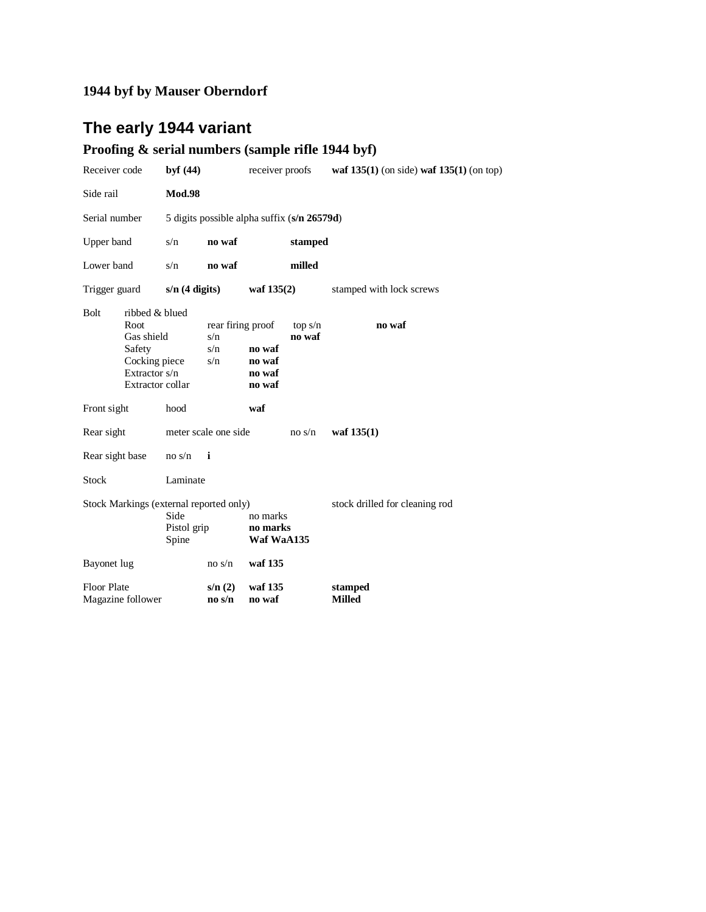## **The early 1944 variant**

## **Proofing & serial numbers (sample rifle 1944 byf)**

| Receiver code                                                           |                                                                                                             | byf $(44)$                         |                                             | receiver proofs                      |                   | waf $135(1)$ (on side) waf $135(1)$ (on top) |
|-------------------------------------------------------------------------|-------------------------------------------------------------------------------------------------------------|------------------------------------|---------------------------------------------|--------------------------------------|-------------------|----------------------------------------------|
| Side rail                                                               |                                                                                                             | <b>Mod.98</b>                      |                                             |                                      |                   |                                              |
| Serial number                                                           |                                                                                                             |                                    | 5 digits possible alpha suffix (s/n 26579d) |                                      |                   |                                              |
| Upper band                                                              |                                                                                                             | s/n                                | no waf                                      |                                      | stamped           |                                              |
| Lower band                                                              |                                                                                                             | s/n                                | no waf                                      |                                      | milled            |                                              |
| Trigger guard                                                           |                                                                                                             | $s/n$ (4 digits)                   |                                             | waf 135(2)                           |                   | stamped with lock screws                     |
| <b>Bolt</b>                                                             | ribbed & blued<br>Root<br>Gas shield<br>Safety<br>Cocking piece<br>Extractor s/n<br><b>Extractor collar</b> |                                    | rear firing proof<br>s/n<br>s/n<br>s/n      | no waf<br>no waf<br>no waf<br>no waf | top s/n<br>no waf | no waf                                       |
| Front sight                                                             |                                                                                                             | hood                               |                                             | waf                                  |                   |                                              |
| Rear sight                                                              |                                                                                                             |                                    | meter scale one side                        |                                      | no s/n            | waf $135(1)$                                 |
| Rear sight base                                                         |                                                                                                             | no s/n                             | $\mathbf{i}$                                |                                      |                   |                                              |
| <b>Stock</b>                                                            |                                                                                                             | Laminate                           |                                             |                                      |                   |                                              |
| Stock Markings (external reported only)<br>Side<br>Pistol grip<br>Spine |                                                                                                             | no marks<br>no marks<br>Waf WaA135 |                                             | stock drilled for cleaning rod       |                   |                                              |
| Bayonet lug                                                             |                                                                                                             |                                    | no s/n                                      | waf 135                              |                   |                                              |
| <b>Floor Plate</b>                                                      | Magazine follower                                                                                           |                                    | s/n(2)<br>$\bf{no}$ s/ $\bf{n}$             | waf 135<br>no waf                    |                   | stamped<br><b>Milled</b>                     |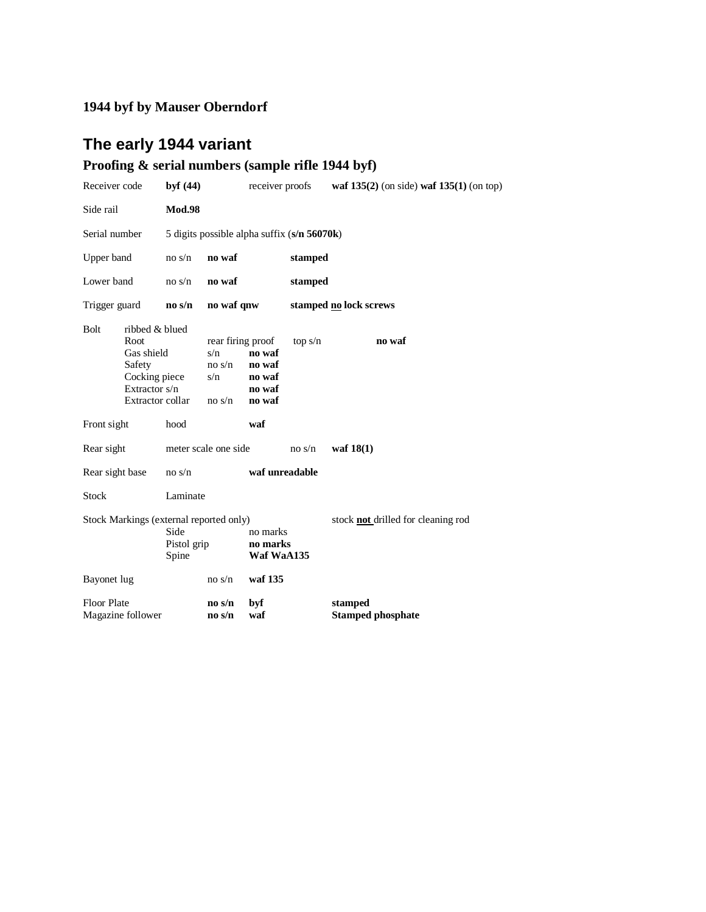## **The early 1944 variant**

## **Proofing & serial numbers (sample rifle 1944 byf)**

| Receiver code                                                           |                                                                                                      | byf $(44)$                         |                                                     | receiver proofs                                |                                             | waf $135(2)$ (on side) waf $135(1)$ (on top) |
|-------------------------------------------------------------------------|------------------------------------------------------------------------------------------------------|------------------------------------|-----------------------------------------------------|------------------------------------------------|---------------------------------------------|----------------------------------------------|
| Side rail                                                               |                                                                                                      | <b>Mod.98</b>                      |                                                     |                                                |                                             |                                              |
| Serial number                                                           |                                                                                                      |                                    |                                                     |                                                | 5 digits possible alpha suffix (s/n 56070k) |                                              |
| Upper band                                                              |                                                                                                      | no s/n                             | no waf                                              |                                                | stamped                                     |                                              |
| Lower band                                                              |                                                                                                      | no s/n                             | no waf                                              |                                                | stamped                                     |                                              |
| Trigger guard                                                           |                                                                                                      | no s/n                             | no waf qnw                                          |                                                |                                             | stamped no lock screws                       |
| <b>Bolt</b>                                                             | ribbed & blued<br>Root<br>Gas shield<br>Safety<br>Cocking piece<br>Extractor s/n<br>Extractor collar |                                    | rear firing proof<br>s/n<br>no s/n<br>s/n<br>no s/n | no waf<br>no waf<br>no waf<br>no waf<br>no waf | top s/n                                     | no waf                                       |
| Front sight                                                             |                                                                                                      | hood                               |                                                     | waf                                            |                                             |                                              |
| Rear sight                                                              |                                                                                                      |                                    | meter scale one side                                |                                                | no s/n                                      | waf $18(1)$                                  |
| Rear sight base                                                         |                                                                                                      | no s/n                             |                                                     | waf unreadable                                 |                                             |                                              |
| <b>Stock</b>                                                            |                                                                                                      | Laminate                           |                                                     |                                                |                                             |                                              |
| Stock Markings (external reported only)<br>Side<br>Pistol grip<br>Spine |                                                                                                      | no marks<br>no marks<br>Waf WaA135 |                                                     | stock <b>not</b> drilled for cleaning rod      |                                             |                                              |
| Bayonet lug                                                             |                                                                                                      |                                    | no s/n                                              | waf 135                                        |                                             |                                              |
| <b>Floor Plate</b>                                                      | Magazine follower                                                                                    |                                    | $\bf{no}$ s/ $\bf{n}$<br>$\bf{no}$ s/ $\bf{n}$      | byf<br>waf                                     |                                             | stamped<br><b>Stamped phosphate</b>          |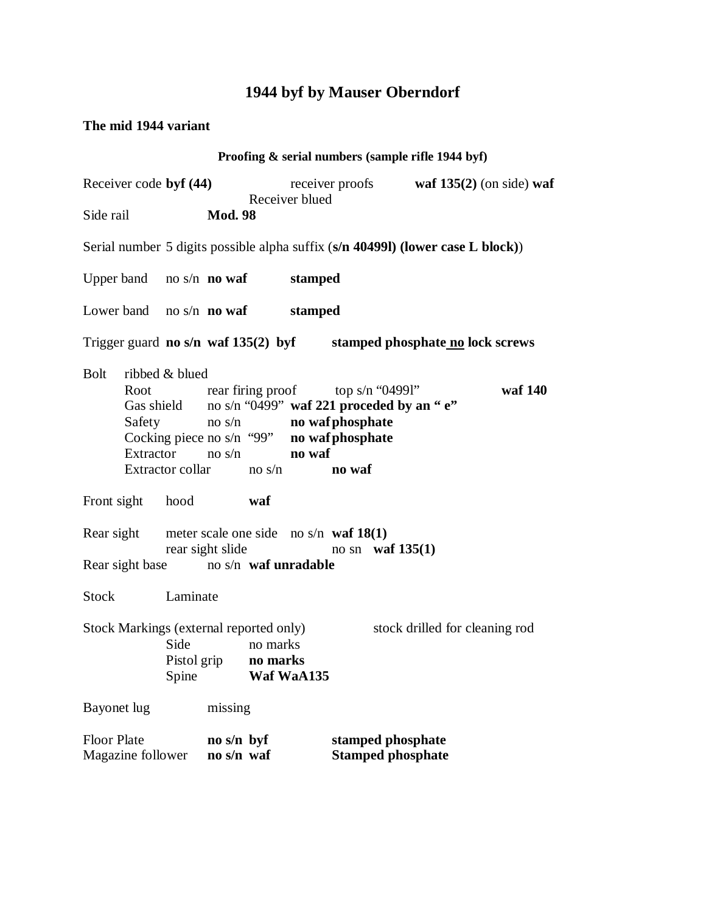#### **The mid 1944 variant**

|                                                                                                                                         |                                                                                                                                 |                                |                |                                            |        |                                                                                                   | Proofing & serial numbers (sample rifle 1944 byf) |         |
|-----------------------------------------------------------------------------------------------------------------------------------------|---------------------------------------------------------------------------------------------------------------------------------|--------------------------------|----------------|--------------------------------------------|--------|---------------------------------------------------------------------------------------------------|---------------------------------------------------|---------|
| Receiver code byf (44)                                                                                                                  |                                                                                                                                 |                                |                | receiver proofs waf $135(2)$ (on side) waf |        |                                                                                                   |                                                   |         |
| Side rail<br><b>Mod. 98</b>                                                                                                             |                                                                                                                                 |                                | Receiver blued |                                            |        |                                                                                                   |                                                   |         |
| Serial number 5 digits possible alpha suffix (s/n 404991) (lower case L block))                                                         |                                                                                                                                 |                                |                |                                            |        |                                                                                                   |                                                   |         |
| Upper band no s/n <b>no waf</b>                                                                                                         |                                                                                                                                 |                                |                | stamped                                    |        |                                                                                                   |                                                   |         |
| Lower band no $s/n$ <b>no waf</b>                                                                                                       |                                                                                                                                 |                                |                | stamped                                    |        |                                                                                                   |                                                   |         |
| Trigger guard no s/n waf 135(2) byf stamped phosphate no lock screws                                                                    |                                                                                                                                 |                                |                |                                            |        |                                                                                                   |                                                   |         |
| <b>Bolt</b><br>Safety                                                                                                                   | ribbed & blued<br>Cocking piece no $s/n$ "99" no waf phosphate<br>Extractor $\cos/n$ no waf<br>Extractor collar $\qquad$ no s/n | no s/n <b>no waf phosphate</b> |                |                                            | no waf | Root rear firing proof top s/n "04991"<br>Gas shield no s/n " $0499$ " waf 221 proceded by an "e" |                                                   | waf 140 |
| Front sight hood                                                                                                                        |                                                                                                                                 |                                | waf            |                                            |        |                                                                                                   |                                                   |         |
| Rear sight<br>meter scale one side no s/n waf $18(1)$<br>rear sight slide<br>no sn waf $135(1)$<br>Rear sight base no s/n waf unradable |                                                                                                                                 |                                |                |                                            |        |                                                                                                   |                                                   |         |
| Stock Laminate                                                                                                                          |                                                                                                                                 |                                |                |                                            |        |                                                                                                   |                                                   |         |
| Stock Markings (external reported only)<br>Side<br>Pistol grip no marks<br>Spine                                                        |                                                                                                                                 | no marks                       | Waf WaA135     |                                            |        |                                                                                                   | stock drilled for cleaning rod                    |         |
| Bayonet lug                                                                                                                             |                                                                                                                                 | missing                        |                |                                            |        |                                                                                                   |                                                   |         |
| <b>Floor Plate</b><br>Magazine follower                                                                                                 |                                                                                                                                 | no s/n byf<br>no s/n waf       |                |                                            |        | stamped phosphate<br><b>Stamped phosphate</b>                                                     |                                                   |         |